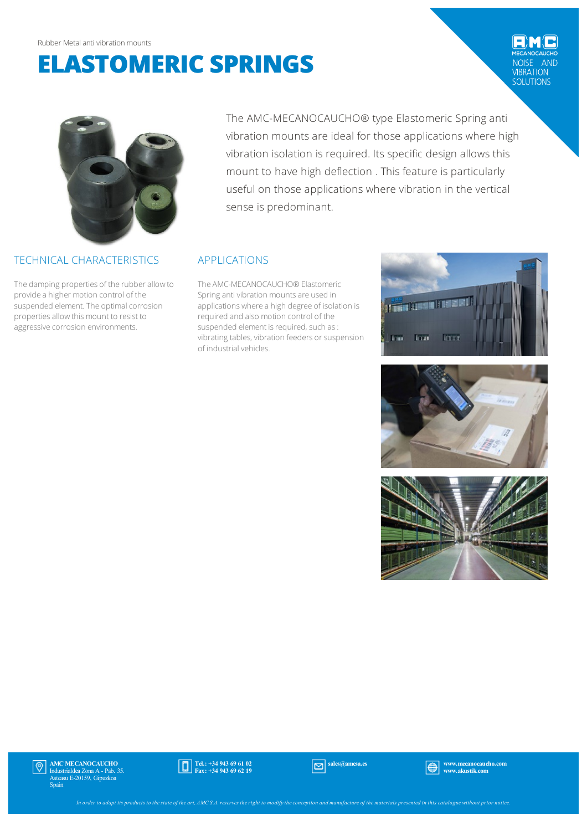# **ELASTOMERIC SPRINGS**

NOISE AND<br>
VIBRATION<br>
SOLUTIONS



### TECHNICAL CHARACTERISTICS

The damping properties of the rubber allow to provide a higher motion control of the suspended element. The optimal corrosion properties allow this mount to resist to aggressive corrosion environments.

The AMC-MECANOCAUCHO® type Elastomeric Spring anti vibration mounts are ideal for those applications where high vibration isolation is required. Its specific design allows this mount to have high deflection . This feature is particularly useful on those applications where vibration in the vertical sense is predominant.

## APPLICATIONS

The AMC-MECANOCAUCHO® Elastomeric Spring anti vibration mounts are used in applications where a high degree of isolation is required and also motion control of the suspended element is required, such as: vibrating tables, vibration feeders or suspension of industrial vehicles.







AMC MECANOCAUCHO  $| \mathbb{\Theta} |$ Industrialdea Zona A - Pab. 35. Asteasu E-20159, Gipuzkoa Spain



sales@amcsa.es www.mecanocaucho.com<br>
www.akustik.com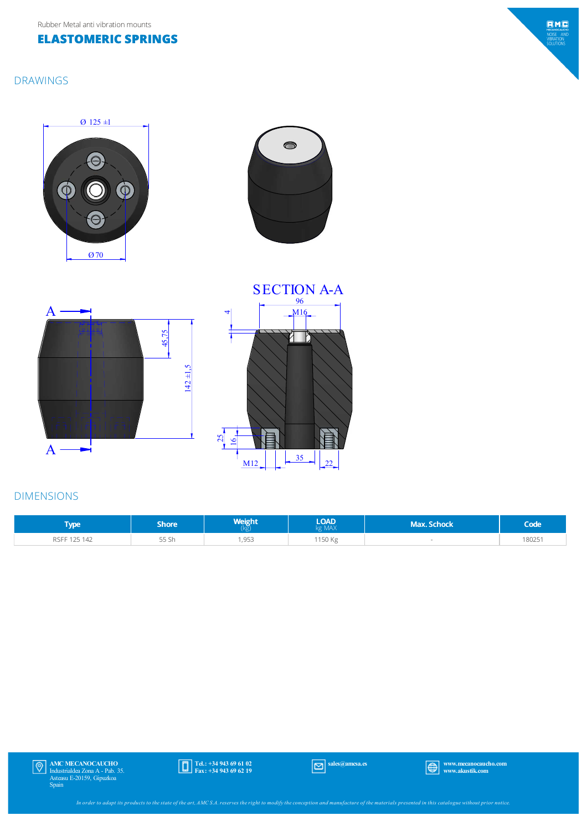Rubber Metal anti vibration mounts

#### **ELASTOMERIC SPRINGS**

#### DRAWINGS











#### DIMENSIONS

| <b>VDE</b>   | Shore' | Weight | <b>LOAD</b><br><g max<="" th=""><th><b>Max. Schock</b></th><th>Code</th></g> | <b>Max. Schock</b> | Code   |
|--------------|--------|--------|------------------------------------------------------------------------------|--------------------|--------|
| RSFF 125 142 | 55 Sh  | 1,953  | 1150 Kg                                                                      |                    | 180251 |



Tel.: +34 943 69 61 02 Fax: +34 943 69 62 19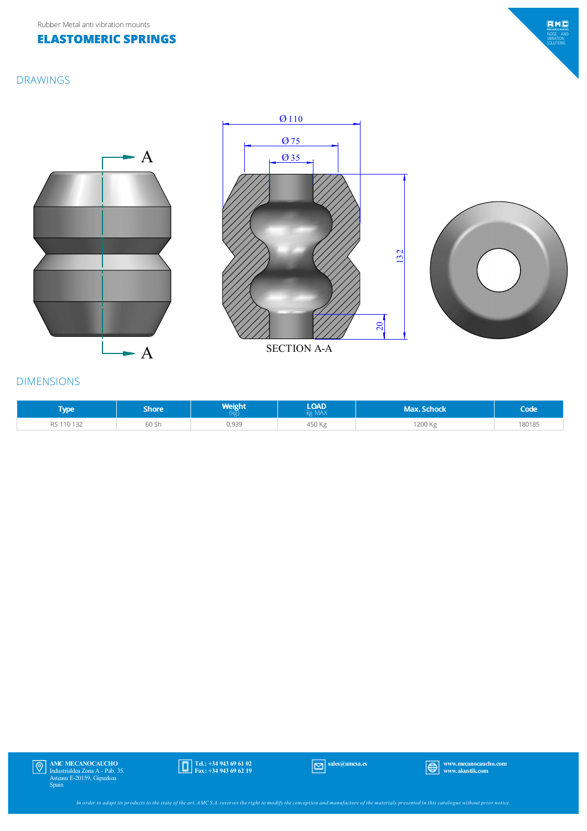#### **ELASTOMERIC SPRINGS**



#### DRAWINGS







#### DIMENSIONS

| <b>Type</b> | Shore | <b>Weight</b> | <b>LOAD</b><br>g MAX | Max. Schock | Code   |
|-------------|-------|---------------|----------------------|-------------|--------|
| 110 132     | 60 Sh | 0,939         | 450 Kg               | 1200 Kg     | 180185 |



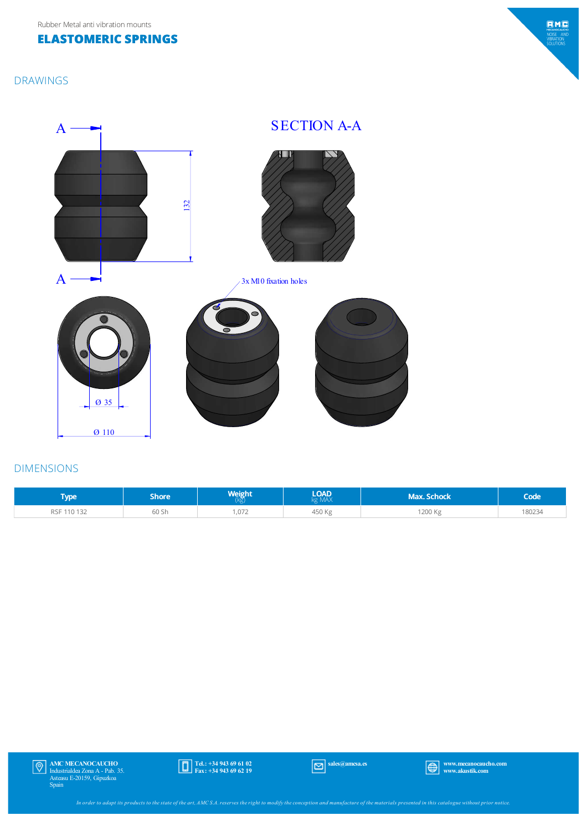Rubber Metal anti vibration mounts

#### **ELASTOMERIC SPRINGS**

#### DRAWINGS





#### DIMENSIONS

| <b>Type</b> | Shore , | Weight<br>(kg) | <b>LOAD</b><br>kg MAX | <b>Max. Schock</b> | Code  |
|-------------|---------|----------------|-----------------------|--------------------|-------|
| RSF 110 132 | 60 Sh   | ,072           | 450 Kg                | 1200 Kg            | 80234 |



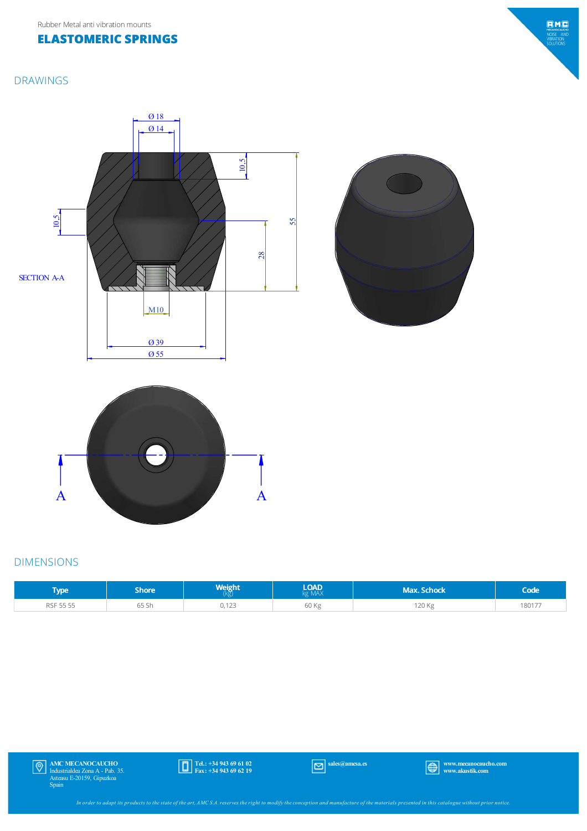#### **ELASTOMERIC SPRINGS**

#### DRAWINGS







#### DIMENSIONS

| [ype]     | Shore' | Weight<br>Kg,    | <b>LOAD</b><br>kg MAX | <b>Max. Schock</b> | Code   |
|-----------|--------|------------------|-----------------------|--------------------|--------|
| RSF 55 55 | 65 Sh  | 0.122<br>0, 1 23 | 60 Kg                 | 120 Kg             | 180177 |